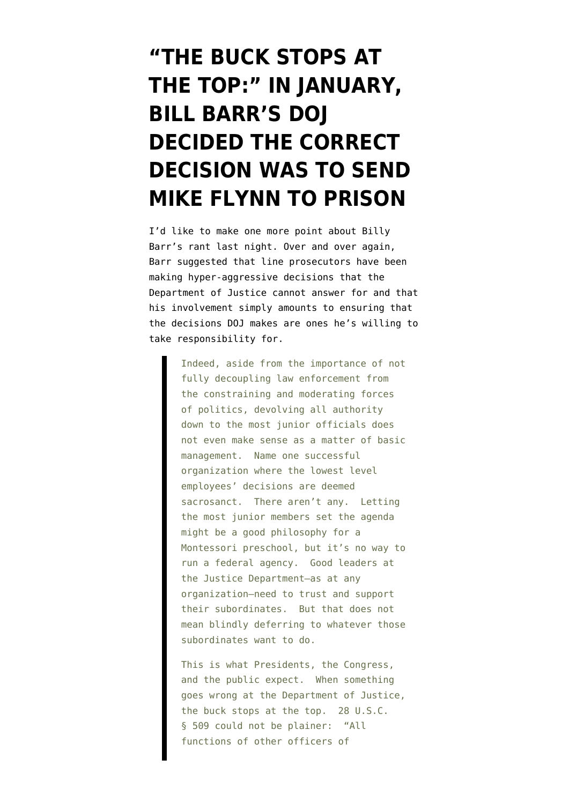## **["THE BUCK STOPS AT](https://www.emptywheel.net/2020/09/17/the-buck-stops-at-the-top-in-january-bill-barr-decided-the-correct-decision-was-to-send-mike-flynn-to-prison/) [THE TOP:" IN JANUARY,](https://www.emptywheel.net/2020/09/17/the-buck-stops-at-the-top-in-january-bill-barr-decided-the-correct-decision-was-to-send-mike-flynn-to-prison/) [BILL BARR'S DOJ](https://www.emptywheel.net/2020/09/17/the-buck-stops-at-the-top-in-january-bill-barr-decided-the-correct-decision-was-to-send-mike-flynn-to-prison/) [DECIDED THE CORRECT](https://www.emptywheel.net/2020/09/17/the-buck-stops-at-the-top-in-january-bill-barr-decided-the-correct-decision-was-to-send-mike-flynn-to-prison/) [DECISION WAS TO SEND](https://www.emptywheel.net/2020/09/17/the-buck-stops-at-the-top-in-january-bill-barr-decided-the-correct-decision-was-to-send-mike-flynn-to-prison/) [MIKE FLYNN TO PRISON](https://www.emptywheel.net/2020/09/17/the-buck-stops-at-the-top-in-january-bill-barr-decided-the-correct-decision-was-to-send-mike-flynn-to-prison/)**

I'd like to make one more point about [Billy](https://www.justice.gov/opa/speech/remarks-attorney-general-william-p-barr-hillsdale-college-constitution-day-event) [Barr's rant](https://www.justice.gov/opa/speech/remarks-attorney-general-william-p-barr-hillsdale-college-constitution-day-event) last night. Over and over again, Barr suggested that line prosecutors have been making hyper-aggressive decisions that the Department of Justice cannot answer for and that his involvement simply amounts to ensuring that the decisions DOJ makes are ones he's willing to take responsibility for.

> Indeed, aside from the importance of not fully decoupling law enforcement from the constraining and moderating forces of politics, devolving all authority down to the most junior officials does not even make sense as a matter of basic management. Name one successful organization where the lowest level employees' decisions are deemed sacrosanct. There aren't any. Letting the most junior members set the agenda might be a good philosophy for a Montessori preschool, but it's no way to run a federal agency. Good leaders at the Justice Department—as at any organization—need to trust and support their subordinates. But that does not mean blindly deferring to whatever those subordinates want to do.

> This is what Presidents, the Congress, and the public expect. When something goes wrong at the Department of Justice, the buck stops at the top. 28 U.S.C. § 509 could not be plainer: "All functions of other officers of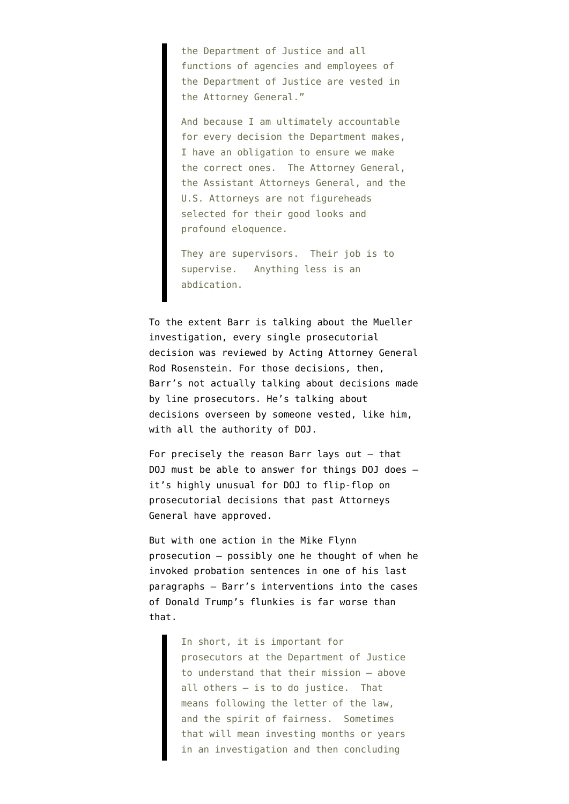the Department of Justice and all functions of agencies and employees of the Department of Justice are vested in the Attorney General."

And because I am ultimately accountable for every decision the Department makes, I have an obligation to ensure we make the correct ones. The Attorney General, the Assistant Attorneys General, and the U.S. Attorneys are not figureheads selected for their good looks and profound eloquence.

They are supervisors. Their job is to supervise. Anything less is an abdication.

To the extent Barr is talking about the Mueller investigation, every single prosecutorial decision was reviewed by Acting Attorney General Rod Rosenstein. For those decisions, then, Barr's not actually talking about decisions made by line prosecutors. He's talking about decisions overseen by someone vested, like him, with all the authority of DOJ.

For precisely the reason Barr lays out — that DOJ must be able to answer for things DOJ does it's highly unusual for DOJ to flip-flop on prosecutorial decisions that past Attorneys General have approved.

But with one action in the Mike Flynn prosecution — possibly one he thought of when he invoked probation sentences in one of his last paragraphs — Barr's interventions into the cases of Donald Trump's flunkies is far worse than that.

> In short, it is important for prosecutors at the Department of Justice to understand that their mission — above all others — is to do justice. That means following the letter of the law, and the spirit of fairness. Sometimes that will mean investing months or years in an investigation and then concluding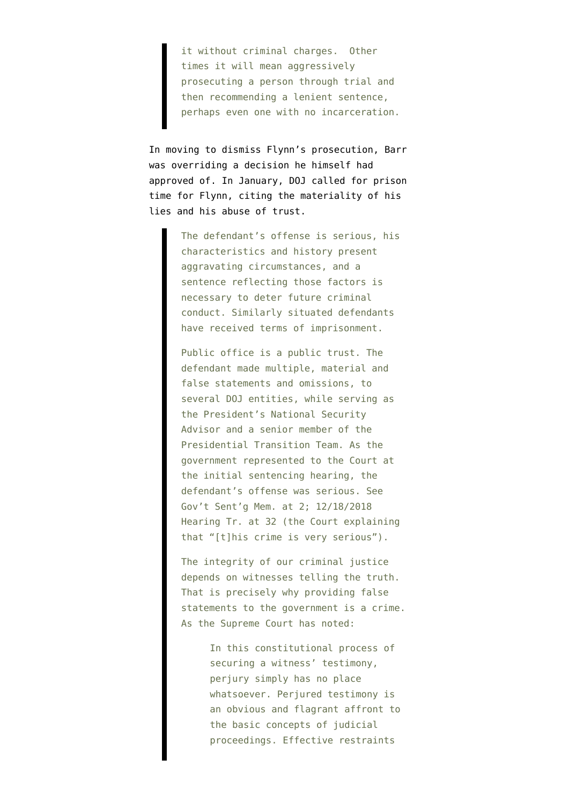it without criminal charges. Other times it will mean aggressively prosecuting a person through trial and then recommending a lenient sentence, perhaps even one with no incarceration.

In moving to dismiss Flynn's prosecution, Barr was overriding a decision he himself had approved of. In January, DOJ [called](https://www.courtlistener.com/recap/gov.uscourts.dcd.191592/gov.uscourts.dcd.191592.150.0_1.pdf) for prison time for Flynn, citing the materiality of his lies and his abuse of trust.

> The defendant's offense is serious, his characteristics and history present aggravating circumstances, and a sentence reflecting those factors is necessary to deter future criminal conduct. Similarly situated defendants have received terms of imprisonment.

> Public office is a public trust. The defendant made multiple, material and false statements and omissions, to several DOJ entities, while serving as the President's National Security Advisor and a senior member of the Presidential Transition Team. As the government represented to the Court at the initial sentencing hearing, the defendant's offense was serious. See Gov't Sent'g Mem. at 2; 12/18/2018 Hearing Tr. at 32 (the Court explaining that "[t]his crime is very serious").

The integrity of our criminal justice depends on witnesses telling the truth. That is precisely why providing false statements to the government is a crime. As the Supreme Court has noted:

> In this constitutional process of securing a witness' testimony, perjury simply has no place whatsoever. Perjured testimony is an obvious and flagrant affront to the basic concepts of judicial proceedings. Effective restraints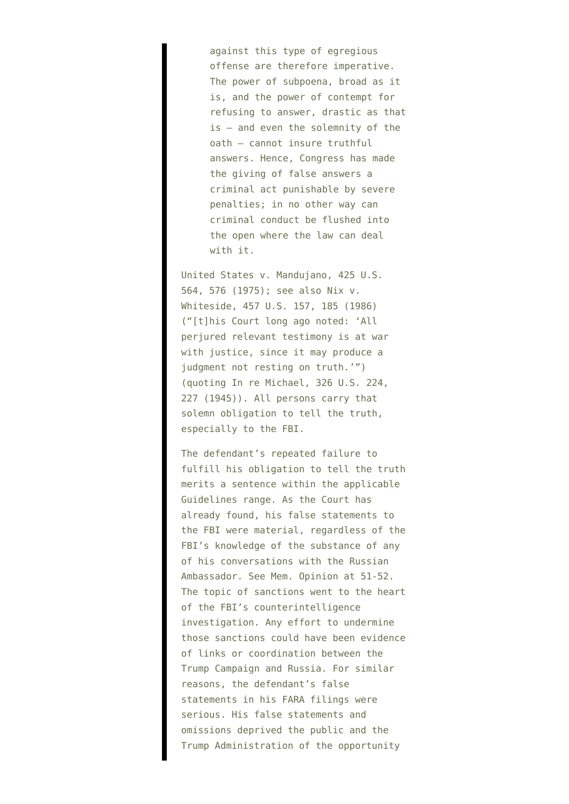against this type of egregious offense are therefore imperative. The power of subpoena, broad as it is, and the power of contempt for refusing to answer, drastic as that is — and even the solemnity of the oath — cannot insure truthful answers. Hence, Congress has made the giving of false answers a criminal act punishable by severe penalties; in no other way can criminal conduct be flushed into the open where the law can deal with it.

United States v. Mandujano, 425 U.S. 564, 576 (1975); see also Nix v. Whiteside, 457 U.S. 157, 185 (1986) ("[t]his Court long ago noted: 'All perjured relevant testimony is at war with justice, since it may produce a judgment not resting on truth.'") (quoting In re Michael, 326 U.S. 224, 227 (1945)). All persons carry that solemn obligation to tell the truth, especially to the FBI.

The defendant's repeated failure to fulfill his obligation to tell the truth merits a sentence within the applicable Guidelines range. As the Court has already found, his false statements to the FBI were material, regardless of the FBI's knowledge of the substance of any of his conversations with the Russian Ambassador. See Mem. Opinion at 51-52. The topic of sanctions went to the heart of the FBI's counterintelligence investigation. Any effort to undermine those sanctions could have been evidence of links or coordination between the Trump Campaign and Russia. For similar reasons, the defendant's false statements in his FARA filings were serious. His false statements and omissions deprived the public and the Trump Administration of the opportunity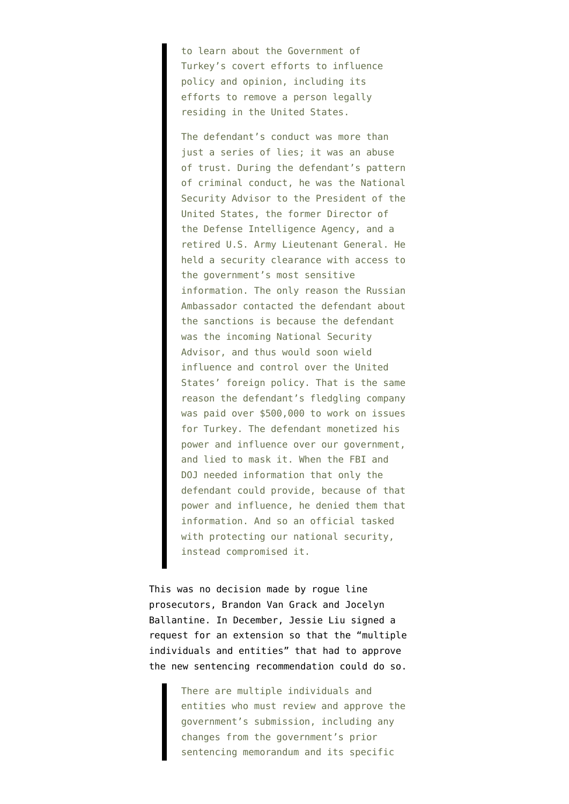to learn about the Government of Turkey's covert efforts to influence policy and opinion, including its efforts to remove a person legally residing in the United States.

The defendant's conduct was more than just a series of lies; it was an abuse of trust. During the defendant's pattern of criminal conduct, he was the National Security Advisor to the President of the United States, the former Director of the Defense Intelligence Agency, and a retired U.S. Army Lieutenant General. He held a security clearance with access to the government's most sensitive information. The only reason the Russian Ambassador contacted the defendant about the sanctions is because the defendant was the incoming National Security Advisor, and thus would soon wield influence and control over the United States' foreign policy. That is the same reason the defendant's fledgling company was paid over \$500,000 to work on issues for Turkey. The defendant monetized his power and influence over our government, and lied to mask it. When the FBI and DOJ needed information that only the defendant could provide, because of that power and influence, he denied them that information. And so an official tasked with protecting our national security, instead compromised it.

This was no decision made by rogue line prosecutors, Brandon Van Grack and Jocelyn Ballantine. In December, Jessie Liu [signed](https://www.courtlistener.com/recap/gov.uscourts.dcd.191592/gov.uscourts.dcd.191592.148.0_2.pdf) a request for an extension so that the "multiple individuals and entities" that had to approve the new sentencing recommendation could do so.

> There are multiple individuals and entities who must review and approve the government's submission, including any changes from the government's prior sentencing memorandum and its specific